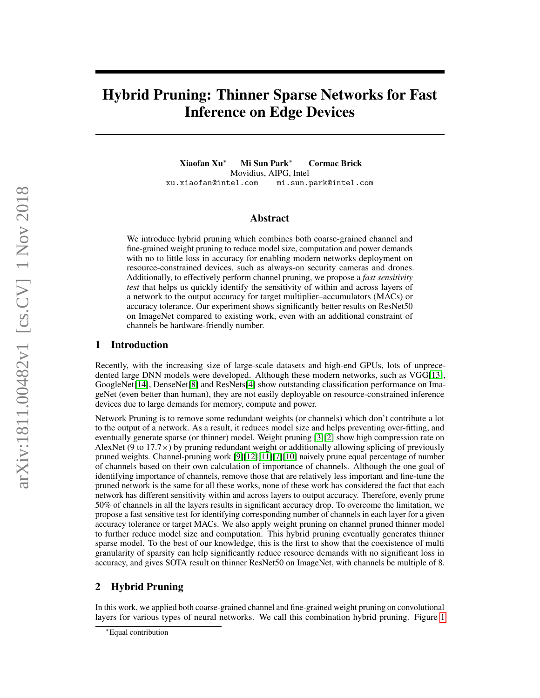# Hybrid Pruning: Thinner Sparse Networks for Fast Inference on Edge Devices

Xiaofan Xu<sup>∗</sup> Mi Sun Park<sup>∗</sup> Cormac Brick Movidius, AIPG, Intel xu.xiaofan@intel.com mi.sun.park@intel.com

## Abstract

We introduce hybrid pruning which combines both coarse-grained channel and fine-grained weight pruning to reduce model size, computation and power demands with no to little loss in accuracy for enabling modern networks deployment on resource-constrained devices, such as always-on security cameras and drones. Additionally, to effectively perform channel pruning, we propose a *fast sensitivity test* that helps us quickly identify the sensitivity of within and across layers of a network to the output accuracy for target multiplier–accumulators (MACs) or accuracy tolerance. Our experiment shows significantly better results on ResNet50 on ImageNet compared to existing work, even with an additional constraint of channels be hardware-friendly number.

## 1 Introduction

Recently, with the increasing size of large-scale datasets and high-end GPUs, lots of unprecedented large DNN models were developed. Although these modern networks, such as VGG[\[13\]](#page-3-0), GoogleNet[\[14\]](#page-3-1), DenseNet[\[8\]](#page-3-2) and ResNets[\[4\]](#page-3-3) show outstanding classification performance on ImageNet (even better than human), they are not easily deployable on resource-constrained inference devices due to large demands for memory, compute and power.

Network Pruning is to remove some redundant weights (or channels) which don't contribute a lot to the output of a network. As a result, it reduces model size and helps preventing over-fitting, and eventually generate sparse (or thinner) model. Weight pruning [\[3\]](#page-3-4)[\[2\]](#page-3-5) show high compression rate on AlexNet (9 to  $17.7 \times$ ) by pruning redundant weight or additionally allowing splicing of previously pruned weights. Channel-pruning work [\[9\]](#page-3-6)[\[12\]](#page-3-7)[\[11\]](#page-3-8)[\[7\]](#page-3-9)[\[10\]](#page-3-10) naively prune equal percentage of number of channels based on their own calculation of importance of channels. Although the one goal of identifying importance of channels, remove those that are relatively less important and fine-tune the pruned network is the same for all these works, none of these work has considered the fact that each network has different sensitivity within and across layers to output accuracy. Therefore, evenly prune 50% of channels in all the layers results in significant accuracy drop. To overcome the limitation, we propose a fast sensitive test for identifying corresponding number of channels in each layer for a given accuracy tolerance or target MACs. We also apply weight pruning on channel pruned thinner model to further reduce model size and computation. This hybrid pruning eventually generates thinner sparse model. To the best of our knowledge, this is the first to show that the coexistence of multi granularity of sparsity can help significantly reduce resource demands with no significant loss in accuracy, and gives SOTA result on thinner ResNet50 on ImageNet, with channels be multiple of 8.

## 2 Hybrid Pruning

In this work, we applied both coarse-grained channel and fine-grained weight pruning on convolutional layers for various types of neural networks. We call this combination hybrid pruning. Figure [1](#page-1-0)

<sup>∗</sup>Equal contribution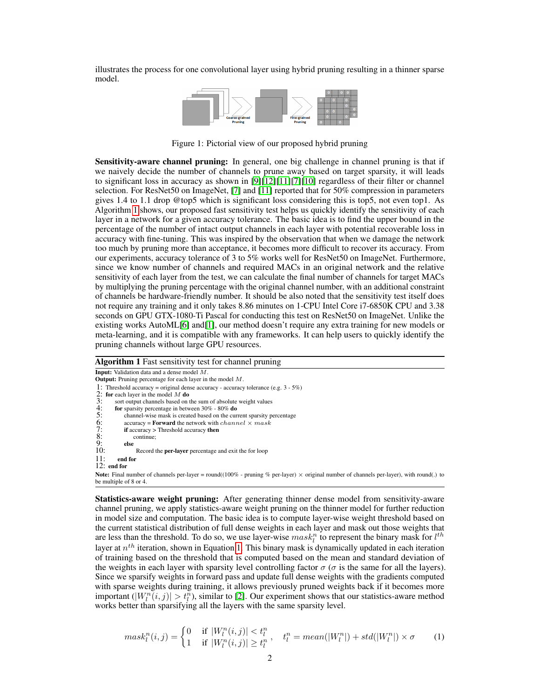illustrates the process for one convolutional layer using hybrid pruning resulting in a thinner sparse model.

<span id="page-1-0"></span>

Figure 1: Pictorial view of our proposed hybrid pruning

**Sensitivity-aware channel pruning:** In general, one big challenge in channel pruning is that if we naively decide the number of channels to prune away based on target sparsity, it will leads to significant loss in accuracy as shown in [\[9\]](#page-3-6)[\[12\]](#page-3-7)[\[11\]](#page-3-8)[\[7\]](#page-3-9)[\[10\]](#page-3-10) regardless of their filter or channel selection. For ResNet50 on ImageNet, [\[7\]](#page-3-9) and [\[11\]](#page-3-8) reported that for 50% compression in parameters gives 1.4 to 1.1 drop @top5 which is significant loss considering this is top5, not even top1. As Algorithm [1](#page-1-1) shows, our proposed fast sensitivity test helps us quickly identify the sensitivity of each layer in a network for a given accuracy tolerance. The basic idea is to find the upper bound in the percentage of the number of intact output channels in each layer with potential recoverable loss in accuracy with fine-tuning. This was inspired by the observation that when we damage the network too much by pruning more than acceptance, it becomes more difficult to recover its accuracy. From our experiments, accuracy tolerance of 3 to 5% works well for ResNet50 on ImageNet. Furthermore, since we know number of channels and required MACs in an original network and the relative sensitivity of each layer from the test, we can calculate the final number of channels for target MACs by multiplying the pruning percentage with the original channel number, with an additional constraint of channels be hardware-friendly number. It should be also noted that the sensitivity test itself does not require any training and it only takes 8.86 minutes on 1-CPU Intel Core i7-6850K CPU and 3.38 seconds on GPU GTX-1080-Ti Pascal for conducting this test on ResNet50 on ImageNet. Unlike the existing works AutoML[\[6\]](#page-3-11) and[\[1\]](#page-3-12), our method doesn't require any extra training for new models or meta-learning, and it is compatible with any frameworks. It can help users to quickly identify the pruning channels without large GPU resources.

#### <span id="page-1-1"></span>Algorithm 1 Fast sensitivity test for channel pruning

Input: Validation data and a dense model M. Output: Pruning percentage for each layer in the model M. 1: Threshold accuracy = original dense accuracy - accuracy tolerance (e.g.  $3 - 5\%$ )<br>2: **for** each layer in the model M **do** 3: sort output channels based on the sum of absolute weight values<br>4: **for** sparsity percentage in between 30% - 80% **do**<br>5: cacuracy = **Forward** the network with *channel* × *mask*<br>5: **if** accuracy = **Toward** the network for sparsity percentage in between 30% - 80% do channel-wise mask is created based on the current sparsity percentage accuracy = **Forward** the network with  $channel \times mask$ if accuracy > Threshold accuracy then continue;<br>else  $\frac{9}{10}$ 10: Record the **per-layer** percentage and exit the for loop 11: **end for** end for 12: end for Note: Final number of channels per-layer = round((100% - pruning % per-layer) × original number of channels per-layer), with round(.) to be multiple of 8 or 4.

Statistics-aware weight pruning: After generating thinner dense model from sensitivity-aware channel pruning, we apply statistics-aware weight pruning on the thinner model for further reduction in model size and computation. The basic idea is to compute layer-wise weight threshold based on the current statistical distribution of full dense weights in each layer and mask out those weights that are less than the threshold. To do so, we use layer-wise  $mask_l^n$  to represent the binary mask for  $l^{th}$ layer at  $n^{th}$  iteration, shown in Equation [1.](#page-1-2) This binary mask is dynamically updated in each iteration of training based on the threshold that is computed based on the mean and standard deviation of the weights in each layer with sparsity level controlling factor  $\sigma$  ( $\sigma$  is the same for all the layers). Since we sparsify weights in forward pass and update full dense weights with the gradients computed with sparse weights during training, it allows previously pruned weights back if it becomes more important  $(|W_l^n(i,j)| > t_l^n)$ , similar to [\[2\]](#page-3-5). Our experiment shows that our statistics-aware method works better than sparsifying all the layers with the same sparsity level.

<span id="page-1-2"></span>
$$
mask_l^n(i,j) = \begin{cases} 0 & \text{if } |W_l^n(i,j)| < t_l^n, \\ 1 & \text{if } |W_l^n(i,j)| \ge t_l^n, \end{cases} \quad t_l^n = mean(|W_l^n|) + std(|W_l^n|) \times \sigma \qquad (1)
$$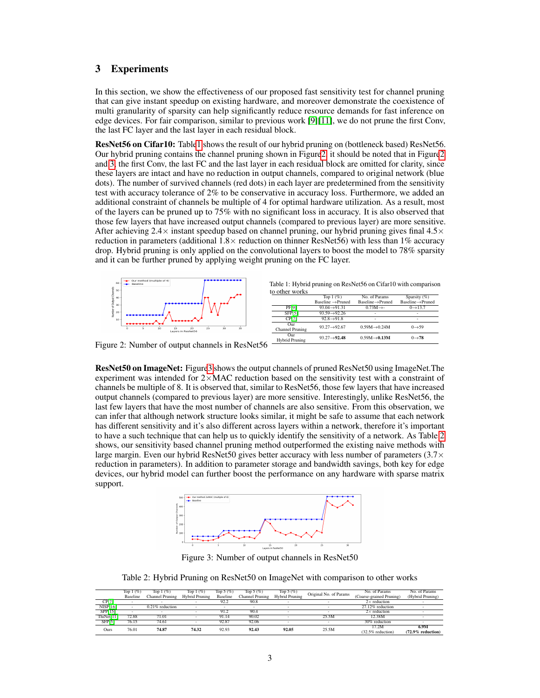# 3 Experiments

In this section, we show the effectiveness of our proposed fast sensitivity test for channel pruning that can give instant speedup on existing hardware, and moreover demonstrate the coexistence of multi granularity of sparsity can help significantly reduce resource demands for fast inference on edge devices. For fair comparison, similar to previous work [\[9\]](#page-3-6)[\[11\]](#page-3-8), we do not prune the first Conv, the last FC layer and the last layer in each residual block.

ResNet56 on Cifar10: Tabl[e1](#page-2-0) shows the result of our hybrid pruning on (bottleneck based) ResNet56. Our hybrid pruning contains the channel pruning shown in Figur[e2,](#page-2-1) it should be noted that in Figur[e2](#page-2-1) and [3,](#page-2-2) the first Conv, the last FC and the last layer in each residual block are omitted for clarity, since these layers are intact and have no reduction in output channels, compared to original network (blue dots). The number of survived channels (red dots) in each layer are predetermined from the sensitivity test with accuracy tolerance of 2% to be conservative in accuracy loss. Furthermore, we added an additional constraint of channels be multiple of 4 for optimal hardware utilization. As a result, most of the layers can be pruned up to 75% with no significant loss in accuracy. It is also observed that those few layers that have increased output channels (compared to previous layer) are more sensitive. After achieving  $2.4\times$  instant speedup based on channel pruning, our hybrid pruning gives final  $4.5\times$ reduction in parameters (additional  $1.8 \times$  reduction on thinner ResNet56) with less than 1% accuracy drop. Hybrid pruning is only applied on the convolutional layers to boost the model to 78% sparsity and it can be further pruned by applying weight pruning on the FC layer.

<span id="page-2-0"></span>

<span id="page-2-1"></span>Figure 2: Number of output channels in ResNet56

ResNet50 on ImageNet: Figur[e3](#page-2-2) shows the output channels of pruned ResNet50 using ImageNet.The experiment was intended for  $2\times$ MAC reduction based on the sensitivity test with a constraint of channels be multiple of 8. It is observed that, similar to ResNet56, those few layers that have increased output channels (compared to previous layer) are more sensitive. Interestingly, unlike ResNet56, the last few layers that have the most number of channels are also sensitive. From this observation, we can infer that although network structure looks similar, it might be safe to assume that each network has different sensitivity and it's also different across layers within a network, therefore it's important to have a such technique that can help us to quickly identify the sensitivity of a network. As Table [2](#page-2-3) shows, our sensitivity based channel pruning method outperformed the existing naive methods with large margin. Even our hybrid ResNet50 gives better accuracy with less number of parameters  $(3.7\times$ reduction in parameters). In addition to parameter storage and bandwidth savings, both key for edge devices, our hybrid model can further boost the performance on any hardware with sparse matrix support.



<span id="page-2-2"></span>Figure 3: Number of output channels in ResNet50

<span id="page-2-3"></span>Table 2: Hybrid Pruning on ResNet50 on ImageNet with comparison to other works

|                 | Top $1 \left( \% \right)$ | Top $1 \left( \% \right)$ | Top $1 \left( \% \right)$ | Top $5(%)$ | Top $5(%)$      | Top $5(%)$            | Original No. of Params | No. of Params            | No. of Params        |
|-----------------|---------------------------|---------------------------|---------------------------|------------|-----------------|-----------------------|------------------------|--------------------------|----------------------|
|                 | <b>Baseline</b>           | Channel Pruning           | <b>Hybrid Pruning</b>     | Baseline   | Channel Pruning | <b>Hybrid Pruning</b> |                        | (Coarse-grained Pruning) | (Hybrid Pruning)     |
| CP[7]           |                           |                           |                           | 92.2       | 90.8            |                       |                        | $2\times$ reduction      |                      |
| <b>NISP[16]</b> |                           | $0.21\%$ reduction        |                           |            |                 |                       |                        | 27.12% reduction         |                      |
| <b>SPP[15]</b>  |                           |                           |                           | 91.2       | 90.4            |                       |                        | $2\times$ reduction      |                      |
| ThiNet[11]      | 72.88                     | 71.01                     |                           | 91.14      | 90.02           |                       | 25.5M                  | 12.38M                   |                      |
| SFP[5]          | 76.15                     | 74.61                     |                           | 92.87      | 92.06           |                       |                        | 30% reduction            |                      |
| Ours            | 76.01                     | 74.87                     | 74.32                     | 92.93      | 92.43           | 92.05                 | 25.5M                  | 17.2M                    | 6.9M                 |
|                 |                           |                           |                           |            |                 |                       |                        | (32.5% reduction)        | $(72.9\%$ reduction) |